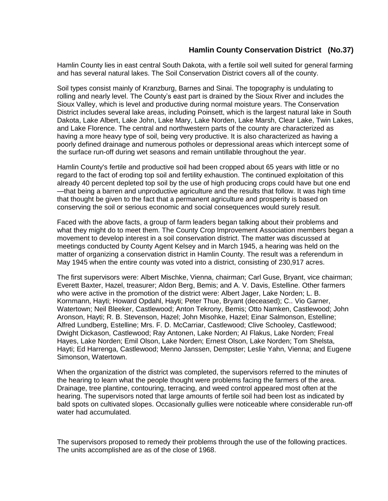## **Hamlin County Conservation District (No.37)**

Hamlin County lies in east central South Dakota, with a fertile soil well suited for general farming and has several natural lakes. The Soil Conservation District covers all of the county.

Soil types consist mainly of Kranzburg, Barnes and Sinai. The topography is undulating to rolling and nearly level. The County's east part is drained by the Sioux River and includes the Sioux Valley, which is level and productive during normal moisture years. The Conservation District includes several lake areas, including Poinsett, which is the largest natural lake in South Dakota, Lake Albert, Lake John, Lake Mary, Lake Norden, Lake Marsh, Clear Lake, Twin Lakes, and Lake Florence. The central and northwestern parts of the county are characterized as having a more heavy type of soil, being very productive. It is also characterized as having a poorly defined drainage and numerous potholes or depressional areas which intercept some of the surface run-off during wet seasons and remain untillable throughout the year.

Hamlin County's fertile and productive soil had been cropped about 65 years with little or no regard to the fact of eroding top soil and fertility exhaustion. The continued exploitation of this already 40 percent depleted top soil by the use of high producing crops could have but one end —that being a barren and unproductive agriculture and the results that follow. It was high time that thought be given to the fact that a permanent agriculture and prosperity is based on conserving the soil or serious economic and social consequences would surely result.

Faced with the above facts, a group of farm leaders began talking about their problems and what they might do to meet them. The County Crop Improvement Association members began a movement to develop interest in a soil conservation district. The matter was discussed at meetings conducted by County Agent Kelsey and in March 1945, a hearing was held on the matter of organizing a conservation district in Hamlin County. The result was a referendum in May 1945 when the entire county was voted into a district, consisting of 230,917 acres.

The first supervisors were: Albert Mischke, Vienna, chairman; Carl Guse, Bryant, vice chairman; Everett Baxter, Hazel, treasurer; Aldon Berg, Bemis; and A. V. Davis, Estelline. Other farmers who were active in the promotion of the district were: Albert Jager, Lake Norden; L. B. Kornmann, Hayti; Howard Opdahl, Hayti; Peter Thue, Bryant (deceased); C.. Vio Garner, Watertown; Neil Bleeker, Castlewood; Anton Tekrony, Bemis; Otto Namken, Castlewood; John Aronson, Hayti; R. B. Stevenson, Hazel; John Misohke, Hazel; Einar Salmonson, Estelline; Alfred Lundberg, Estelline; Mrs. F. D. McCarriar, Castlewood; Clive Schooley, Castlewood; Dwight Dickason, Castlewood; Ray Antonen, Lake Norden; AI Flakus, Lake Norden; Freal Hayes, Lake Norden; Emil Olson, Lake Norden; Ernest Olson, Lake Norden; Tom Shelsta, Hayti; Ed Harrenga, Castlewood; Menno Janssen, Dempster; Leslie Yahn, Vienna; and Eugene Simonson, Watertown.

When the organization of the district was completed, the supervisors referred to the minutes of the hearing to learn what the people thought were problems facing the farmers of the area. Drainage, tree plantine, contouring, terracing, and weed control appeared most often at the hearing. The supervisors noted that large amounts of fertile soil had been lost as indicated by bald spots on cultivated slopes. Occasionally gullies were noticeable where considerable run-off water had accumulated.

The supervisors proposed to remedy their problems through the use of the following practices. The units accomplished are as of the close of 1968.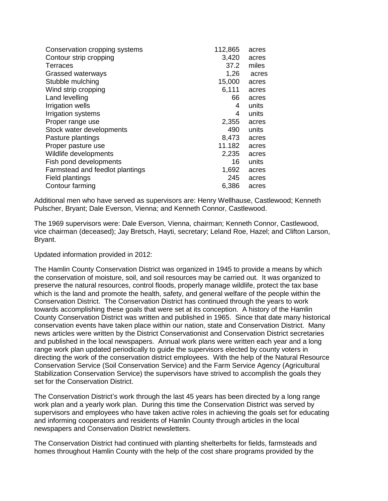| Conservation cropping systems   | 112,865 | acres |
|---------------------------------|---------|-------|
| Contour strip cropping          | 3,420   | acres |
| Terraces                        | 37.2    | miles |
| Grassed waterways               | 1,26    | acres |
| Stubble mulching                | 15,000  | acres |
| Wind strip cropping             | 6,111   | acres |
| Land levelling                  | 66      | acres |
| Irrigation wells                | 4       | units |
| Irrigation systems              | 4       | units |
| Proper range use                | 2,355   | acres |
| Stock water developments        | 490     | units |
| Pasture plantings               | 8,473   | acres |
| Proper pasture use              | 11.182  | acres |
| Wildlife developments           | 2,235   | acres |
| Fish pond developments          | 16      | units |
| Farmstead and feedlot plantings | 1,692   | acres |
| Field plantings                 | 245     | acres |
| Contour farming                 | 6,386   | acres |
|                                 |         |       |

Additional men who have served as supervisors are: Henry Wellhause, Castlewood; Kenneth Pulscher, Bryant; Dale Everson, Vienna; and Kenneth Connor, Castlewood.

The 1969 supervisors were: Dale Everson, Vienna, chairman; Kenneth Connor, Castlewood, vice chairman (deceased); Jay Bretsch, Hayti, secretary; Leland Roe, Hazel; and Clifton Larson, Bryant.

Updated information provided in 2012:

The Hamlin County Conservation District was organized in 1945 to provide a means by which the conservation of moisture, soil, and soil resources may be carried out. It was organized to preserve the natural resources, control floods, properly manage wildlife, protect the tax base which is the land and promote the health, safety, and general welfare of the people within the Conservation District. The Conservation District has continued through the years to work towards accomplishing these goals that were set at its conception. A history of the Hamlin County Conservation District was written and published in 1965. Since that date many historical conservation events have taken place within our nation, state and Conservation District. Many news articles were written by the District Conservationist and Conservation District secretaries and published in the local newspapers. Annual work plans were written each year and a long range work plan updated periodically to guide the supervisors elected by county voters in directing the work of the conservation district employees. With the help of the Natural Resource Conservation Service (Soil Conservation Service) and the Farm Service Agency (Agricultural Stabilization Conservation Service) the supervisors have strived to accomplish the goals they set for the Conservation District.

The Conservation District's work through the last 45 years has been directed by a long range work plan and a yearly work plan. During this time the Conservation District was served by supervisors and employees who have taken active roles in achieving the goals set for educating and informing cooperators and residents of Hamlin County through articles in the local newspapers and Conservation District newsletters.

The Conservation District had continued with planting shelterbelts for fields, farmsteads and homes throughout Hamlin County with the help of the cost share programs provided by the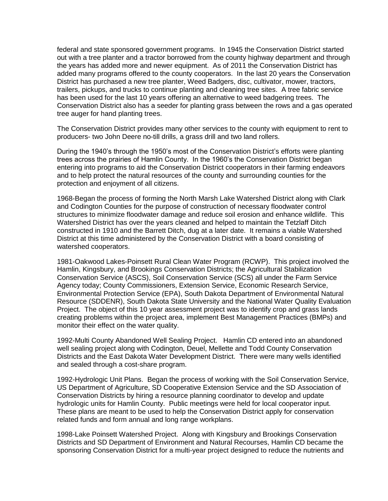federal and state sponsored government programs. In 1945 the Conservation District started out with a tree planter and a tractor borrowed from the county highway department and through the years has added more and newer equipment. As of 2011 the Conservation District has added many programs offered to the county cooperators. In the last 20 years the Conservation District has purchased a new tree planter, Weed Badgers, disc, cultivator, mower, tractors, trailers, pickups, and trucks to continue planting and cleaning tree sites. A tree fabric service has been used for the last 10 years offering an alternative to weed badgering trees. The Conservation District also has a seeder for planting grass between the rows and a gas operated tree auger for hand planting trees.

The Conservation District provides many other services to the county with equipment to rent to producers- two John Deere no-till drills, a grass drill and two land rollers.

During the 1940's through the 1950's most of the Conservation District's efforts were planting trees across the prairies of Hamlin County. In the 1960's the Conservation District began entering into programs to aid the Conservation District cooperators in their farming endeavors and to help protect the natural resources of the county and surrounding counties for the protection and enjoyment of all citizens.

1968-Began the process of forming the North Marsh Lake Watershed District along with Clark and Codington Counties for the purpose of construction of necessary floodwater control structures to minimize floodwater damage and reduce soil erosion and enhance wildlife. This Watershed District has over the years cleaned and helped to maintain the Tetzlaff Ditch constructed in 1910 and the Barrett Ditch, dug at a later date. It remains a viable Watershed District at this time administered by the Conservation District with a board consisting of watershed cooperators.

1981-Oakwood Lakes-Poinsett Rural Clean Water Program (RCWP).This project involved the Hamlin, Kingsbury, and Brookings Conservation Districts; the Agricultural Stabilization Conservation Service (ASCS), Soil Conservation Service (SCS) all under the Farm Service Agency today; County Commissioners, Extension Service, Economic Research Service, Environmental Protection Service (EPA), South Dakota Department of Environmental Natural Resource (SDDENR), South Dakota State University and the National Water Quality Evaluation Project. The object of this 10 year assessment project was to identify crop and grass lands creating problems within the project area, implement Best Management Practices (BMPs) and monitor their effect on the water quality.

1992-Multi County Abandoned Well Sealing Project.Hamlin CD entered into an abandoned well sealing project along with Codington, Deuel, Mellette and Todd County Conservation Districts and the East Dakota Water Development District. There were many wells identified and sealed through a cost-share program.

1992-Hydrologic Unit Plans.Began the process of working with the Soil Conservation Service, US Department of Agriculture, SD Cooperative Extension Service and the SD Association of Conservation Districts by hiring a resource planning coordinator to develop and update hydrologic units for Hamlin County. Public meetings were held for local cooperator input. These plans are meant to be used to help the Conservation District apply for conservation related funds and form annual and long range workplans.

1998-Lake Poinsett Watershed Project.Along with Kingsbury and Brookings Conservation Districts and SD Department of Environment and Natural Recourses, Hamlin CD became the sponsoring Conservation District for a multi-year project designed to reduce the nutrients and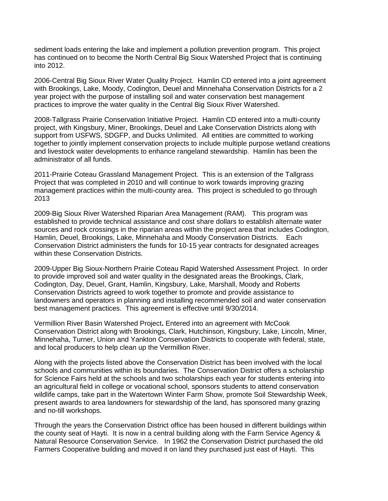sediment loads entering the lake and implement a pollution prevention program. This project has continued on to become the North Central Big Sioux Watershed Project that is continuing into 2012.

2006-Central Big Sioux River Water Quality Project.Hamlin CD entered into a joint agreement with Brookings, Lake, Moody, Codington, Deuel and Minnehaha Conservation Districts for a 2 year project with the purpose of installing soil and water conservation best management practices to improve the water quality in the Central Big Sioux River Watershed.

2008-Tallgrass Prairie Conservation Initiative Project.Hamlin CD entered into a multi-county project, with Kingsbury, Miner, Brookings, Deuel and Lake Conservation Districts along with support from USFWS, SDGFP, and Ducks Unlimited. All entities are committed to working together to jointly implement conservation projects to include multiple purpose wetland creations and livestock water developments to enhance rangeland stewardship. Hamlin has been the administrator of all funds.

2011-Prairie Coteau Grassland Management Project. This is an extension of the Tallgrass Project that was completed in 2010 and will continue to work towards improving grazing management practices within the multi-county area. This project is scheduled to go through 2013

2009-Big Sioux River Watershed Riparian Area Management (RAM). This program was established to provide technical assistance and cost share dollars to establish alternate water sources and rock crossings in the riparian areas within the project area that includes Codington, Hamlin, Deuel, Brookings, Lake, Minnehaha and Moody Conservation Districts. Each Conservation District administers the funds for 10-15 year contracts for designated acreages within these Conservation Districts.

2009-Upper Big Sioux-Northern Prairie Coteau Rapid Watershed Assessment Project.In order to provide improved soil and water quality in the designated areas the Brookings, Clark, Codington, Day, Deuel, Grant, Hamlin, Kingsbury, Lake, Marshall, Moody and Roberts Conservation Districts agreed to work together to promote and provide assistance to landowners and operators in planning and installing recommended soil and water conservation best management practices. This agreement is effective until 9/30/2014.

Vermillion River Basin Watershed Project**.** Entered into an agreement with McCook Conservation District along with Brookings, Clark, Hutchinson, Kingsbury, Lake, Lincoln, Miner, Minnehaha, Turner, Union and Yankton Conservation Districts to cooperate with federal, state, and local producers to help clean up the Vermillion River.

Along with the projects listed above the Conservation District has been involved with the local schools and communities within its boundaries. The Conservation District offers a scholarship for Science Fairs held at the schools and two scholarships each year for students entering into an agricultural field in college or vocational school, sponsors students to attend conservation wildlife camps, take part in the Watertown Winter Farm Show, promote Soil Stewardship Week, present awards to area landowners for stewardship of the land, has sponsored many grazing and no-till workshops.

Through the years the Conservation District office has been housed in different buildings within the county seat of Hayti. It is now in a central building along with the Farm Service Agency & Natural Resource Conservation Service. In 1962 the Conservation District purchased the old Farmers Cooperative building and moved it on land they purchased just east of Hayti. This